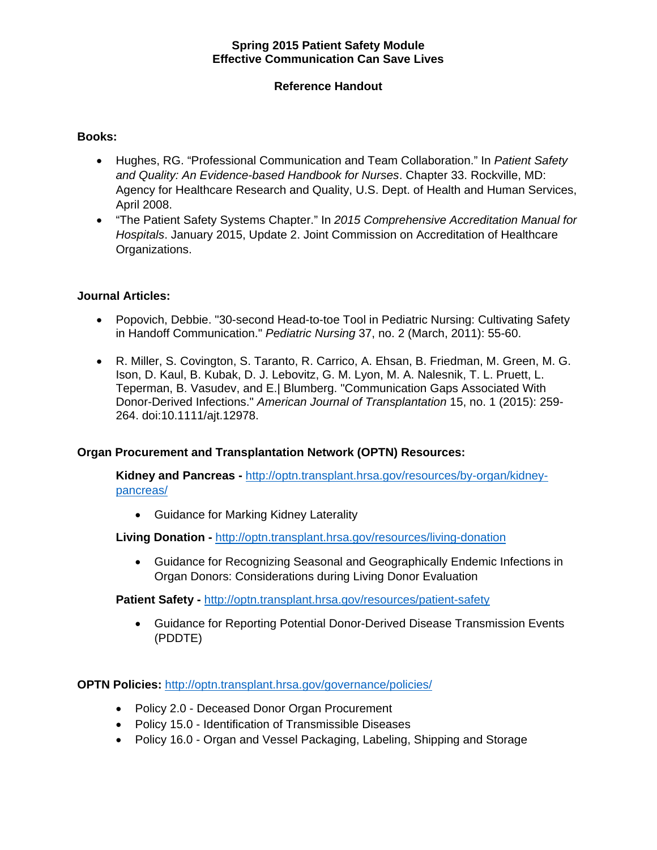#### **Spring 2015 Patient Safety Module Effective Communication Can Save Lives**

## **Reference Handout**

#### **Books:**

- Hughes, RG. "Professional Communication and Team Collaboration." In *Patient Safety and Quality: An Evidence-based Handbook for Nurses*. Chapter 33. Rockville, MD: Agency for Healthcare Research and Quality, U.S. Dept. of Health and Human Services, April 2008.
- "The Patient Safety Systems Chapter." In *2015 Comprehensive Accreditation Manual for Hospitals*. January 2015, Update 2. Joint Commission on Accreditation of Healthcare Organizations.

#### **Journal Articles:**

- Popovich, Debbie. "30-second Head-to-toe Tool in Pediatric Nursing: Cultivating Safety in Handoff Communication." *Pediatric Nursing* 37, no. 2 (March, 2011): 55-60.
- R. Miller, S. Covington, S. Taranto, R. Carrico, A. Ehsan, B. Friedman, M. Green, M. G. Ison, D. Kaul, B. Kubak, D. J. Lebovitz, G. M. Lyon, M. A. Nalesnik, T. L. Pruett, L. Teperman, B. Vasudev, and E.| Blumberg. "Communication Gaps Associated With Donor-Derived Infections." *American Journal of Transplantation* 15, no. 1 (2015): 259- 264. doi:10.1111/ajt.12978.

#### **Organ Procurement and Transplantation Network (OPTN) Resources:**

**Kidney and Pancreas -** http://optn.transplant.hrsa.gov/resources/by-organ/kidneypancreas/

Guidance for Marking Kidney Laterality

**Living Donation -** http://optn.transplant.hrsa.gov/resources/living-donation

 Guidance for Recognizing Seasonal and Geographically Endemic Infections in Organ Donors: Considerations during Living Donor Evaluation

**Patient Safety -** http://optn.transplant.hrsa.gov/resources/patient-safety

 Guidance for Reporting Potential Donor-Derived Disease Transmission Events (PDDTE)

**OPTN Policies:** http://optn.transplant.hrsa.gov/governance/policies/

- Policy 2.0 Deceased Donor Organ Procurement
- Policy 15.0 Identification of Transmissible Diseases
- Policy 16.0 Organ and Vessel Packaging, Labeling, Shipping and Storage